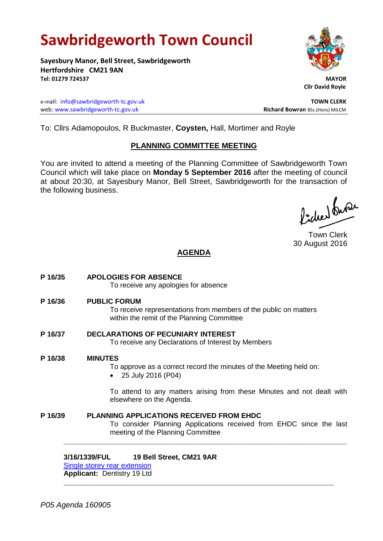# **Sawbridgeworth Town Council**

**Sayesbury Manor, Bell Street, Sawbridgeworth Hertfordshire CM21 9AN Tel: 01279 724537 MAYOR**

e-mail: [info@sawbridgeworth-tc.gov.uk](mailto:info@sawbridgeworth-tc.gov.uk) **TOWN CLERK** web: www.sawbridgeworth-tc.gov.uk<br>
Richard Bowran BSc.(Hons) MILCM



 **Cllr David Royle**

To: Cllrs Adamopoulos, R Buckmaster, **Coysten,** Hall, Mortimer and Royle

## **PLANNING COMMITTEE MEETING**

You are invited to attend a meeting of the Planning Committee of Sawbridgeworth Town Council which will take place on **Monday 5 September 2016** after the meeting of council at about 20:30, at Sayesbury Manor, Bell Street, Sawbridgeworth for the transaction of the following business.

Picked fuse

Town Clerk 30 August 2016

# **AGENDA**

**P 16/35 APOLOGIES FOR ABSENCE** To receive any apologies for absence **P 16/36 PUBLIC FORUM** To receive representations from members of the public on matters within the remit of the Planning Committee **P 16/37 DECLARATIONS OF PECUNIARY INTEREST** To receive any Declarations of Interest by Members **P 16/38 MINUTES** To approve as a correct record the minutes of the Meeting held on: 25 July 2016 (P04) To attend to any matters arising from these Minutes and not dealt with elsewhere on the Agenda. **P 16/39 PLANNING APPLICATIONS RECEIVED FROM EHDC** To consider Planning Applications received from EHDC since the last meeting of the Planning Committee **\_\_\_\_\_\_\_\_\_\_\_\_\_\_\_\_\_\_\_\_\_\_\_\_\_\_\_\_\_\_\_\_\_\_\_\_\_\_\_\_\_\_\_\_\_\_\_\_\_\_\_\_\_\_\_\_\_\_\_\_\_\_\_\_\_\_**

**\_\_\_\_\_\_\_\_\_\_\_\_\_\_\_\_\_\_\_\_\_\_\_\_\_\_\_\_\_\_\_\_\_\_\_\_\_\_\_\_\_\_\_\_\_\_\_\_\_\_\_\_\_\_\_\_\_\_\_\_\_\_\_**

## **3/16/1339/FUL 19 Bell Street, CM21 9AR**

[Single storey rear extension](https://publicaccess.eastherts.gov.uk/online-applications/applicationDetails.do?activeTab=summary&keyVal=O8I3YVGLK8G00) **Applicant:** Dentistry 19 Ltd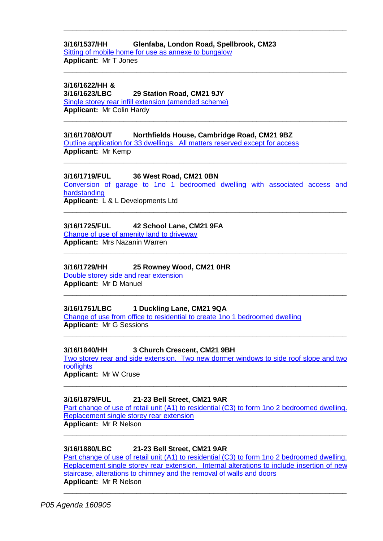## **3/16/1537/HH Glenfaba, London Road, Spellbrook, CM23**

[Sitting of mobile home for use as annexe to bungalow](https://publicaccess.eastherts.gov.uk/online-applications/applicationDetails.do?activeTab=summary&keyVal=O9U46HGL00X00) **Applicant:** Mr T Jones

# **3/16/1622/HH &**

## **3/16/1623/LBC 29 Station Road, CM21 9JY**

[Single storey rear infill extension \(amended scheme\)](https://publicaccess.eastherts.gov.uk/online-applications/applicationDetails.do?activeTab=summary&keyVal=OACUZ8GL00B00) **Applicant:** Mr Colin Hardy **\_\_\_\_\_\_\_\_\_\_\_\_\_\_\_\_\_\_\_\_\_\_\_\_\_\_\_\_\_\_\_\_\_\_\_\_\_\_\_\_\_\_\_\_\_\_\_\_\_\_\_\_\_\_\_\_\_\_\_\_\_\_\_\_\_\_**

### **3/16/1708/OUT Northfields House, Cambridge Road, CM21 9BZ**

[Outline application for 33 dwellings. All matters reserved except for access](https://publicaccess.eastherts.gov.uk/online-applications/applicationDetails.do?activeTab=summary&keyVal=OAYZZOGLKUK00) **Applicant:** Mr Kemp

## **3/16/1719/FUL 36 West Road, CM21 0BN**

[Conversion of garage to 1no 1 bedroomed dwelling with associated access and](https://publicaccess.eastherts.gov.uk/online-applications/applicationDetails.do?activeTab=summary&keyVal=OB0O9UGL00X00)  [hardstanding](https://publicaccess.eastherts.gov.uk/online-applications/applicationDetails.do?activeTab=summary&keyVal=OB0O9UGL00X00) **Applicant:** L & L Developments Ltd

**\_\_\_\_\_\_\_\_\_\_\_\_\_\_\_\_\_\_\_\_\_\_\_\_\_\_\_\_\_\_\_\_\_\_\_\_\_\_\_\_\_\_\_\_\_\_\_\_\_\_\_\_\_\_\_\_\_\_\_\_\_\_\_\_\_\_**

**\_\_\_\_\_\_\_\_\_\_\_\_\_\_\_\_\_\_\_\_\_\_\_\_\_\_\_\_\_\_\_\_\_\_\_\_\_\_\_\_\_\_\_\_\_\_\_\_\_\_\_\_\_\_\_\_\_\_\_\_\_\_\_\_\_\_**

**\_\_\_\_\_\_\_\_\_\_\_\_\_\_\_\_\_\_\_\_\_\_\_\_\_\_\_\_\_\_\_\_\_\_\_\_\_\_\_\_\_\_\_\_\_\_\_\_\_\_\_\_\_\_\_\_\_\_\_\_\_\_\_\_\_\_**

**\_\_\_\_\_\_\_\_\_\_\_\_\_\_\_\_\_\_\_\_\_\_\_\_\_\_\_\_\_\_\_\_\_\_\_\_\_\_\_\_\_\_\_\_\_\_\_\_\_\_\_\_\_\_\_\_\_\_\_\_\_\_\_\_\_\_**

**\_\_\_\_\_\_\_\_\_\_\_\_\_\_\_\_\_\_\_\_\_\_\_\_\_\_\_\_\_\_\_\_\_\_\_\_\_\_\_\_\_\_\_\_\_\_\_\_\_\_\_\_\_\_\_\_\_\_\_\_\_\_\_\_\_\_**

**\_\_\_\_\_\_\_\_\_\_\_\_\_\_\_\_\_\_\_\_\_\_\_\_\_\_\_\_\_\_\_\_\_\_\_\_\_\_\_\_\_\_\_\_\_\_\_\_\_\_\_\_\_\_\_\_\_\_\_\_\_\_\_\_\_\_**

## **3/16/1725/FUL 42 School Lane, CM21 9FA**

[Change of use of amenity land to driveway](https://publicaccess.eastherts.gov.uk/online-applications/applicationDetails.do?activeTab=summary&keyVal=OB0UNYGLKV900) **Applicant:** Mrs Nazanin Warren

## **3/16/1729/HH 25 Rowney Wood, CM21 0HR**

[Double storey side and rear extension](https://publicaccess.eastherts.gov.uk/online-applications/applicationDetails.do?activeTab=summary&keyVal=OB0WGCGL00X00) **Applicant:** Mr D Manuel

## **3/16/1751/LBC 1 Duckling Lane, CM21 9QA**

[Change of use from office to residential to create 1no 1 bedroomed dwelling](https://publicaccess.eastherts.gov.uk/online-applications/applicationDetails.do?activeTab=summary&keyVal=OB85AOGL00X00) **Applicant:** Mr G Sessions

#### **3/16/1840/HH 3 Church Crescent, CM21 9BH**

[Two storey rear and side extension. Two new dormer windows to side roof slope and two](https://publicaccess.eastherts.gov.uk/online-applications/applicationDetails.do?activeTab=summary&keyVal=OBOX9XGLL1A00)  **[rooflights](https://publicaccess.eastherts.gov.uk/online-applications/applicationDetails.do?activeTab=summary&keyVal=OBOX9XGLL1A00) Applicant:** Mr W Cruse

**\_\_\_\_\_\_\_\_\_\_\_\_\_\_\_\_\_\_\_\_\_\_\_\_\_\_\_\_\_\_\_\_\_\_\_\_\_\_\_\_\_\_\_\_\_\_\_\_\_\_\_\_\_\_\_\_\_\_\_\_\_\_\_\_\_\_**

**\_\_\_\_\_\_\_\_\_\_\_\_\_\_\_\_\_\_\_\_\_\_\_\_\_\_\_\_\_\_\_\_\_\_\_\_\_\_\_\_\_\_\_\_\_\_\_\_\_\_\_\_\_\_\_\_\_\_\_\_\_\_\_\_\_\_**

#### **3/16/1879/FUL 21-23 Bell Street, CM21 9AR**

[Part change of use of retail unit \(A1\) to residential \(C3\) to form 1no 2 bedroomed dwelling.](https://publicaccess.eastherts.gov.uk/online-applications/applicationDetails.do?activeTab=summary&keyVal=OC1KUNGLL3B00)  [Replacement single storey rear extension](https://publicaccess.eastherts.gov.uk/online-applications/applicationDetails.do?activeTab=summary&keyVal=OC1KUNGLL3B00) **Applicant:** Mr R Nelson

**\_\_\_\_\_\_\_\_\_\_\_\_\_\_\_\_\_\_\_\_\_\_\_\_\_\_\_\_\_\_\_\_\_\_\_\_\_\_\_\_\_\_\_\_\_\_\_\_\_\_\_\_\_\_\_\_\_\_\_\_\_\_\_\_\_\_**

## **3/16/1880/LBC 21-23 Bell Street, CM21 9AR**

[Part change of use of retail unit \(A1\) to residential \(C3\) to form 1no 2 bedroomed dwelling.](https://publicaccess.eastherts.gov.uk/online-applications/applicationDetails.do?activeTab=summary&keyVal=OC1KUPGLL3C00)  [Replacement single storey rear extension. Internal alterations to include insertion of new](https://publicaccess.eastherts.gov.uk/online-applications/applicationDetails.do?activeTab=summary&keyVal=OC1KUPGLL3C00)  [staircase, alterations to chimney and the removal of walls and doors](https://publicaccess.eastherts.gov.uk/online-applications/applicationDetails.do?activeTab=summary&keyVal=OC1KUPGLL3C00) **Applicant:** Mr R Nelson

**\_\_\_\_\_\_\_\_\_\_\_\_\_\_\_\_\_\_\_\_\_\_\_\_\_\_\_\_\_\_\_\_\_\_\_\_\_\_\_\_\_\_\_\_\_\_\_\_\_\_\_\_\_\_\_\_\_\_\_\_\_\_\_\_\_\_**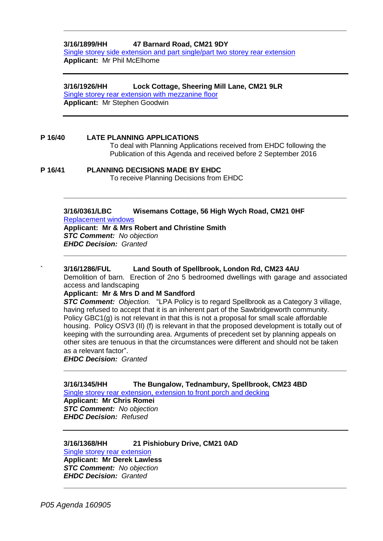#### **3/16/1899/HH 47 Barnard Road, CM21 9DY**

[Single storey side extension and part single/part two storey rear extension](https://publicaccess.eastherts.gov.uk/online-applications/applicationDetails.do?activeTab=summary&keyVal=OC5LAUGLL4G00) **Applicant:** Mr Phil McElhome

**\_\_\_\_\_\_\_\_\_\_\_\_\_\_\_\_\_\_\_\_\_\_\_\_\_\_\_\_\_\_\_\_\_\_\_\_\_\_\_\_\_\_\_\_\_\_\_\_\_\_\_\_\_\_\_\_\_\_\_\_\_\_\_\_\_\_**

#### **3/16/1926/HH Lock Cottage, Sheering Mill Lane, CM21 9LR**

[Single storey rear extension with mezzanine floor](https://publicaccess.eastherts.gov.uk/online-applications/applicationDetails.do?activeTab=summary&keyVal=OCCZZPGLL6400) **Applicant:** Mr Stephen Goodwin

#### **P 16/40 LATE PLANNING APPLICATIONS**

To deal with Planning Applications received from EHDC following the Publication of this Agenda and received before 2 September 2016

#### **P 16/41 PLANNING DECISIONS MADE BY EHDC**

To receive Planning Decisions from EHDC

#### **3/16/0361/LBC Wisemans Cottage, 56 High Wych Road, CM21 0HF** [Replacement windows](https://publicaccess.eastherts.gov.uk/online-applications/applicationDetails.do?activeTab=summary&keyVal=O2LJ79GLIO200)

**Applicant: Mr & Mrs Robert and Christine Smith**  *STC Comment: No objection EHDC Decision: Granted*

#### **` 3/16/1286/FUL Land South of Spellbrook, London Rd, CM23 4AU**

Demolition of barn. Erection of 2no 5 bedroomed dwellings with garage and associated access and landscaping

**\_\_\_\_\_\_\_\_\_\_\_\_\_\_\_\_\_\_\_\_\_\_\_\_\_\_\_\_\_\_\_\_\_\_\_\_\_\_\_\_\_\_\_\_\_\_\_\_\_\_\_\_\_\_\_\_\_\_\_\_\_\_\_\_\_\_**

**\_\_\_\_\_\_\_\_\_\_\_\_\_\_\_\_\_\_\_\_\_\_\_\_\_\_\_\_\_\_\_\_\_\_\_\_\_\_\_\_\_\_\_\_\_\_\_\_\_\_\_\_\_\_\_\_\_\_\_\_\_\_\_\_\_\_**

#### **Applicant: Mr & Mrs D and M Sandford**

*STC Comment: Objection.* "LPA Policy is to regard Spellbrook as a Category 3 village, having refused to accept that it is an inherent part of the Sawbridgeworth community. Policy GBC1(g) is not relevant in that this is not a proposal for small scale affordable housing. Policy OSV3 (II) (f) is relevant in that the proposed development is totally out of keeping with the surrounding area. Arguments of precedent set by planning appeals on other sites are tenuous in that the circumstances were different and should not be taken as a relevant factor".

**\_\_\_\_\_\_\_\_\_\_\_\_\_\_\_\_\_\_\_\_\_\_\_\_\_\_\_\_\_\_\_\_\_\_\_\_\_\_\_\_\_\_\_\_\_\_\_\_\_\_\_\_\_\_\_\_\_\_\_\_\_\_\_\_\_\_**

**\_\_\_\_\_\_\_\_\_\_\_\_\_\_\_\_\_\_\_\_\_\_\_\_\_\_\_\_\_\_\_\_\_\_\_\_\_\_\_\_\_\_\_\_\_\_\_\_\_\_\_\_\_\_\_\_\_\_\_\_\_\_\_\_\_\_**

*EHDC Decision: Granted*

#### **3/16/1345/HH The Bungalow, Tednambury, Spellbrook, CM23 4BD** [Single storey rear extension, extension to front porch and decking](https://publicaccess.eastherts.gov.uk/online-applications/applicationDetails.do?activeTab=summary&keyVal=O8IF4EGLK8T00)

**Applicant: Mr Chris Romei** *STC Comment: No objection EHDC Decision: Refused*

#### **3/16/1368/HH 21 Pishiobury Drive, CM21 0AD** [Single storey rear extension](https://publicaccess.eastherts.gov.uk/online-applications/applicationDetails.do?activeTab=summary&keyVal=O8P87JGL00B00)

**Applicant: Mr Derek Lawless** *STC Comment: No objection EHDC Decision: Granted*